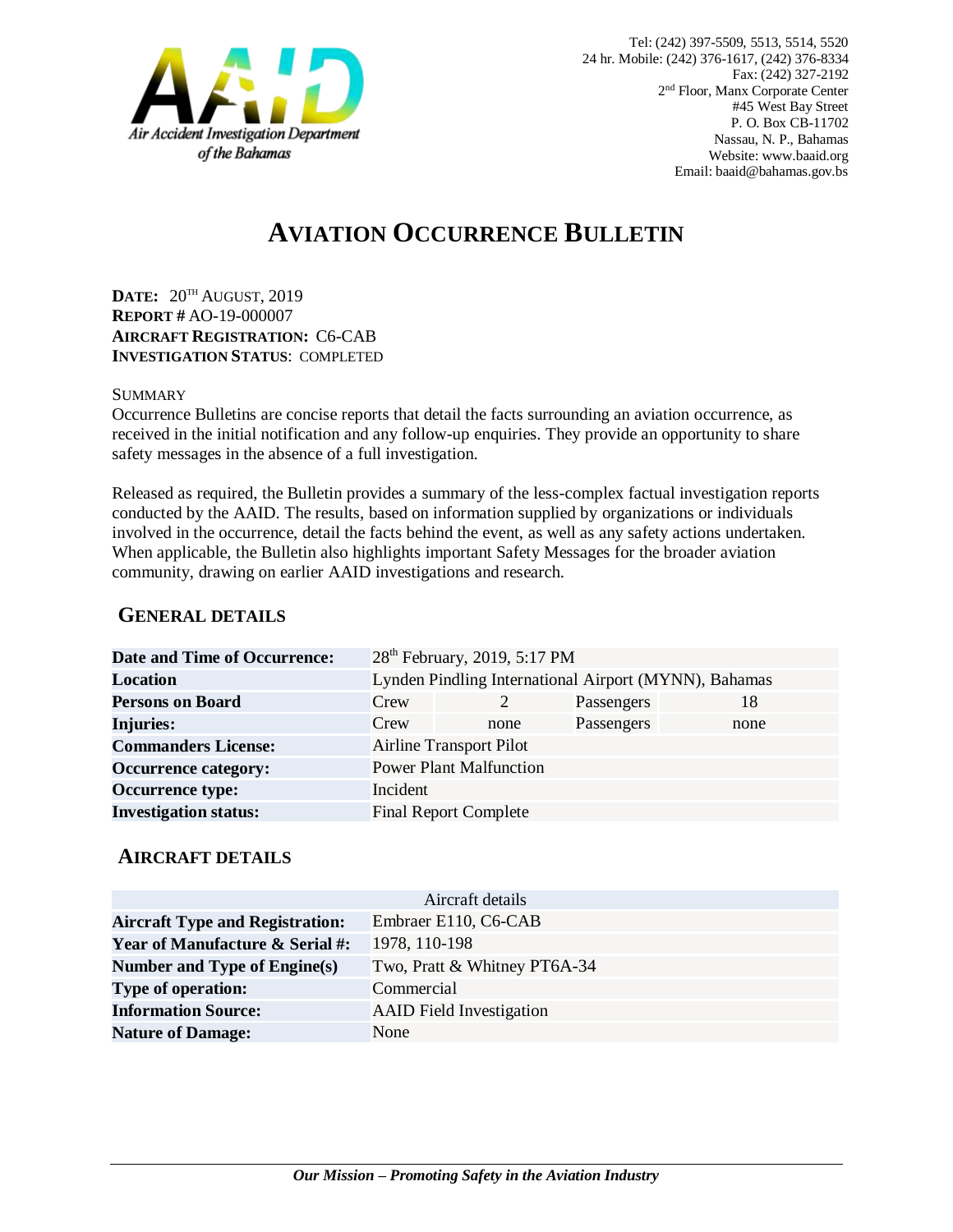

# **AVIATION OCCURRENCE BULLETIN**

**DATE:** 20TH AUGUST, 2019 **REPORT #** AO-19-000007 **AIRCRAFT REGISTRATION:** C6-CAB **INVESTIGATION STATUS**: COMPLETED

#### SUMMARY

Occurrence Bulletins are concise reports that detail the facts surrounding an aviation occurrence, as received in the initial notification and any follow-up enquiries. They provide an opportunity to share safety messages in the absence of a full investigation*.*

Released as required, the Bulletin provides a summary of the less-complex factual investigation reports conducted by the AAID. The results, based on information supplied by organizations or individuals involved in the occurrence, detail the facts behind the event, as well as any safety actions undertaken. When applicable, the Bulletin also highlights important Safety Messages for the broader aviation community, drawing on earlier AAID investigations and research.

### **GENERAL DETAILS**

| <b>Date and Time of Occurrence:</b> |                                                       | 28 <sup>th</sup> February, 2019, 5:17 PM |            |      |
|-------------------------------------|-------------------------------------------------------|------------------------------------------|------------|------|
| <b>Location</b>                     | Lynden Pindling International Airport (MYNN), Bahamas |                                          |            |      |
| <b>Persons on Board</b>             | Crew                                                  |                                          | Passengers | 18   |
| <b>Injuries:</b>                    | Crew                                                  | none                                     | Passengers | none |
| <b>Commanders License:</b>          | <b>Airline Transport Pilot</b>                        |                                          |            |      |
| <b>Occurrence category:</b>         |                                                       | <b>Power Plant Malfunction</b>           |            |      |
| <b>Occurrence type:</b>             | Incident                                              |                                          |            |      |
| <b>Investigation status:</b>        |                                                       | <b>Final Report Complete</b>             |            |      |

#### **AIRCRAFT DETAILS**

|                                            | Aircraft details                |
|--------------------------------------------|---------------------------------|
| <b>Aircraft Type and Registration:</b>     | Embraer E110, C6-CAB            |
| <b>Year of Manufacture &amp; Serial #:</b> | 1978, 110-198                   |
| Number and Type of Engine(s)               | Two, Pratt & Whitney PT6A-34    |
| <b>Type of operation:</b>                  | Commercial                      |
| <b>Information Source:</b>                 | <b>AAID</b> Field Investigation |
| <b>Nature of Damage:</b>                   | None                            |